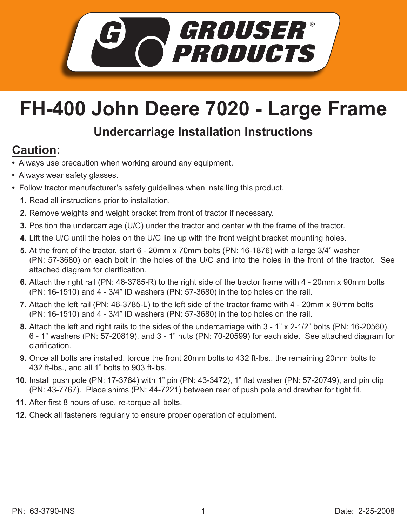

## **FH-400 John Deere 7020 - Large Frame**

## **Undercarriage Installation Instructions**

## **Caution:**

- Always use precaution when working around any equipment.
- Always wear safety glasses.
- Follow tractor manufacturer's safety guidelines when installing this product.
	- **1.** Read all instructions prior to installation.
	- **2.** Remove weights and weight bracket from front of tractor if necessary.
	- **3.** Position the undercarriage (U/C) under the tractor and center with the frame of the tractor.
	- Lift the U/C until the holes on the U/C line up with the front weight bracket mounting holes. **4.**
	- **5.** At the front of the tractor, start 6 20mm x 70mm bolts (PN: 16-1876) with a large 3/4" washer (PN: 57-3680) on each bolt in the holes of the U/C and into the holes in the front of the tractor. See attached diagram for clarification.
	- **6.** Attach the right rail (PN: 46-3785-R) to the right side of the tractor frame with 4 20mm x 90mm bolts (PN: 16-1510) and 4 - 3/4" ID washers (PN: 57-3680) in the top holes on the rail.
	- Attach the left rail (PN: 46-3785-L) to the left side of the tractor frame with 4 20mm x 90mm bolts **7.** (PN: 16-1510) and 4 - 3/4" ID washers (PN: 57-3680) in the top holes on the rail.
	- Attach the left and right rails to the sides of the undercarriage with 3 1" x 2-1/2" bolts (PN: 16-20560), **8.** 6 - 1" washers (PN: 57-20819), and 3 - 1" nuts (PN: 70-20599) for each side. See attached diagram for clarification.
	- Once all bolts are installed, torque the front 20mm bolts to 432 ft-lbs., the remaining 20mm bolts to **9.** 432 ft-lbs., and all 1" bolts to 903 ft-lbs.
	- **10.** Install push pole (PN: 17-3784) with 1" pin (PN: 43-3472), 1" flat washer (PN: 57-20749), and pin clip (PN: 43-7767). Place shims (PN: 44-7221) between rear of push pole and drawbar for tight fit.
	- After first 8 hours of use, re-torque all bolts. **11.**
	- **12.** Check all fasteners regularly to ensure proper operation of equipment.